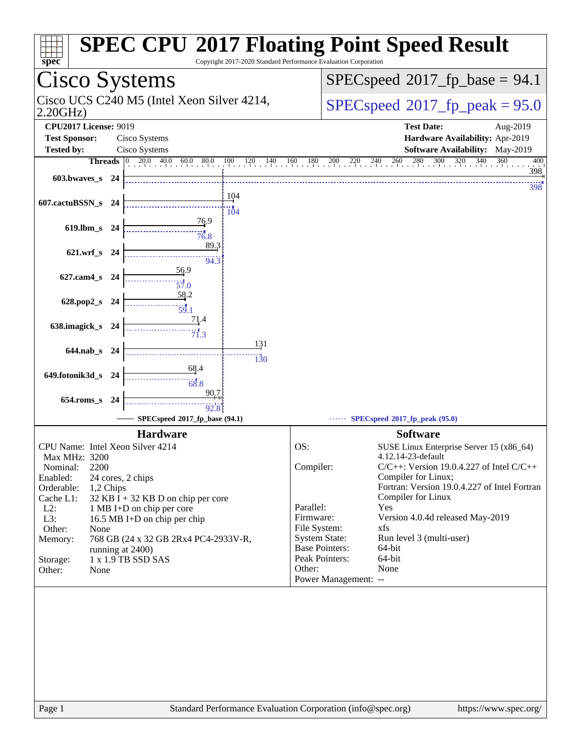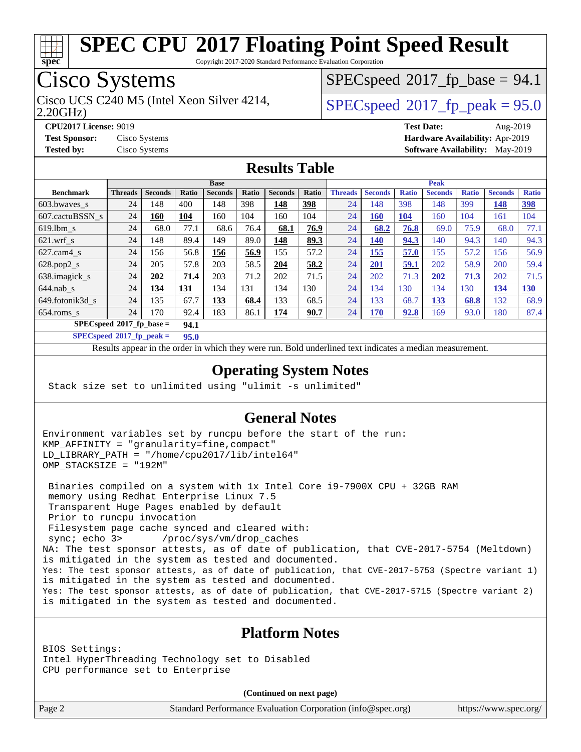

Copyright 2017-2020 Standard Performance Evaluation Corporation

# Cisco Systems

2.20GHz) Cisco UCS C240 M5 (Intel Xeon Silver 4214,  $\begin{array}{|l|}\n\hline\n\text{SPEC speed} \text{°2017\_fp\_peak} = 95.0\n\end{array}$ 

 $SPECspeed^{\circ}2017\_fp\_base = 94.1$  $SPECspeed^{\circ}2017\_fp\_base = 94.1$ 

**[CPU2017 License:](http://www.spec.org/auto/cpu2017/Docs/result-fields.html#CPU2017License)** 9019 **[Test Date:](http://www.spec.org/auto/cpu2017/Docs/result-fields.html#TestDate)** Aug-2019 **[Test Sponsor:](http://www.spec.org/auto/cpu2017/Docs/result-fields.html#TestSponsor)** Cisco Systems **[Hardware Availability:](http://www.spec.org/auto/cpu2017/Docs/result-fields.html#HardwareAvailability)** Apr-2019 **[Tested by:](http://www.spec.org/auto/cpu2017/Docs/result-fields.html#Testedby)** Cisco Systems **[Software Availability:](http://www.spec.org/auto/cpu2017/Docs/result-fields.html#SoftwareAvailability)** May-2019

### **[Results Table](http://www.spec.org/auto/cpu2017/Docs/result-fields.html#ResultsTable)**

|                            | <b>Base</b>    |                |            |                | <b>Peak</b> |                |            |                |                |              |                |              |                |              |
|----------------------------|----------------|----------------|------------|----------------|-------------|----------------|------------|----------------|----------------|--------------|----------------|--------------|----------------|--------------|
| <b>Benchmark</b>           | <b>Threads</b> | <b>Seconds</b> | Ratio      | <b>Seconds</b> | Ratio       | <b>Seconds</b> | Ratio      | <b>Threads</b> | <b>Seconds</b> | <b>Ratio</b> | <b>Seconds</b> | <b>Ratio</b> | <b>Seconds</b> | <b>Ratio</b> |
| 603.bwaves_s               | 24             | 148            | 400        | 148            | 398         | 148            | <u>398</u> | 24             | 148            | 398          | 148            | 399          | 148            | <u>398</u>   |
| 607.cactuBSSN s            | 24             | 160            | 104        | 160            | 104         | 160            | 104        | 24             | <b>160</b>     | <b>104</b>   | 160            | 104          | 161            | 104          |
| $619.1$ bm s               | 24             | 68.0           | 77.1       | 68.6           | 76.4        | 68.1           | 76.9       | 24             | 68.2           | 76.8         | 69.0           | 75.9         | 68.0           | 77.1         |
| $621$ .wrf s               | 24             | 148            | 89.4       | 149            | 89.0        | 148            | 89.3       | 24             | 140            | 94.3         | 140            | 94.3         | 140            | 94.3         |
| $627$ .cam $4$ s           | 24             | 156            | 56.8       | 156            | 56.9        | 155            | 57.2       | 24             | 155            | 57.0         | 155            | 57.2         | 156            | 56.9         |
| $628.pop2_s$               | 24             | 205            | 57.8       | 203            | 58.5        | 204            | 58.2       | 24             | 201            | 59.1         | 202            | 58.9         | 200            | 59.4         |
| 638.imagick_s              | 24             | 202            | 71.4       | 203            | 71.2        | 202            | 71.5       | 24             | 202            | 71.3         | 202            | 71.3         | 202            | 71.5         |
| $644$ .nab s               | 24             | 134            | <b>131</b> | 134            | 131         | 134            | 130        | 24             | 134            | 130          | 134            | 130          | 134            | 130          |
| 649.fotonik3d s            | 24             | 135            | 67.7       | 133            | 68.4        | 133            | 68.5       | 24             | 133            | 68.7         | 133            | 68.8         | 132            | 68.9         |
| $654$ .roms s              | 24             | 170            | 92.4       | 183            | 86.1        | 174            | 90.7       | 24             | 170            | 92.8         | 169            | 93.0         | 180            | 87.4         |
| $SPECspeed*2017$ fp base = |                |                | 94.1       |                |             |                |            |                |                |              |                |              |                |              |

**[SPECspeed](http://www.spec.org/auto/cpu2017/Docs/result-fields.html#SPECspeed2017fppeak)[2017\\_fp\\_peak =](http://www.spec.org/auto/cpu2017/Docs/result-fields.html#SPECspeed2017fppeak) 95.0**

Results appear in the [order in which they were run.](http://www.spec.org/auto/cpu2017/Docs/result-fields.html#RunOrder) Bold underlined text [indicates a median measurement](http://www.spec.org/auto/cpu2017/Docs/result-fields.html#Median).

### **[Operating System Notes](http://www.spec.org/auto/cpu2017/Docs/result-fields.html#OperatingSystemNotes)**

Stack size set to unlimited using "ulimit -s unlimited"

### **[General Notes](http://www.spec.org/auto/cpu2017/Docs/result-fields.html#GeneralNotes)**

Environment variables set by runcpu before the start of the run: KMP\_AFFINITY = "granularity=fine,compact" LD\_LIBRARY\_PATH = "/home/cpu2017/lib/intel64" OMP\_STACKSIZE = "192M"

 Binaries compiled on a system with 1x Intel Core i9-7900X CPU + 32GB RAM memory using Redhat Enterprise Linux 7.5 Transparent Huge Pages enabled by default Prior to runcpu invocation Filesystem page cache synced and cleared with: sync; echo 3> /proc/sys/vm/drop\_caches NA: The test sponsor attests, as of date of publication, that CVE-2017-5754 (Meltdown) is mitigated in the system as tested and documented. Yes: The test sponsor attests, as of date of publication, that CVE-2017-5753 (Spectre variant 1) is mitigated in the system as tested and documented. Yes: The test sponsor attests, as of date of publication, that CVE-2017-5715 (Spectre variant 2) is mitigated in the system as tested and documented.

#### **[Platform Notes](http://www.spec.org/auto/cpu2017/Docs/result-fields.html#PlatformNotes)**

BIOS Settings: Intel HyperThreading Technology set to Disabled CPU performance set to Enterprise

**(Continued on next page)**

Page 2 Standard Performance Evaluation Corporation [\(info@spec.org\)](mailto:info@spec.org) <https://www.spec.org/>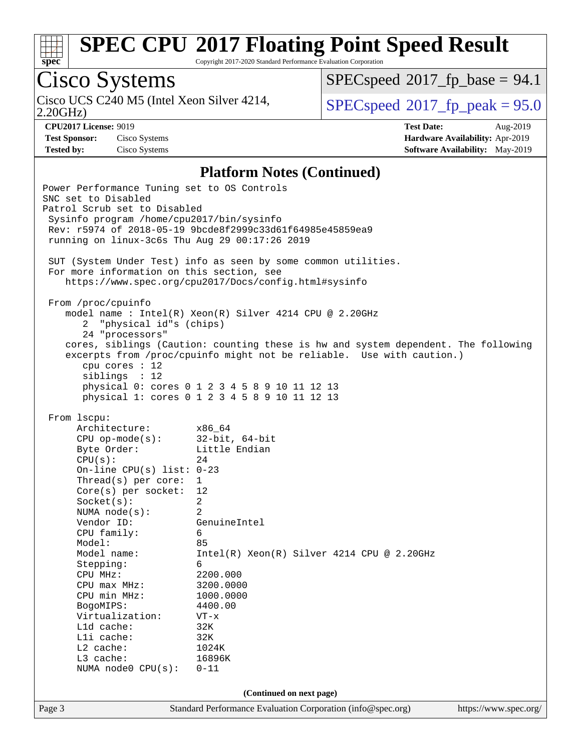

Copyright 2017-2020 Standard Performance Evaluation Corporation

# Cisco Systems

2.20GHz) Cisco UCS C240 M5 (Intel Xeon Silver 4214,  $\vert$  [SPECspeed](http://www.spec.org/auto/cpu2017/Docs/result-fields.html#SPECspeed2017fppeak)®[2017\\_fp\\_peak = 9](http://www.spec.org/auto/cpu2017/Docs/result-fields.html#SPECspeed2017fppeak)5.0

 $SPECspeed^{\circ}2017\_fp\_base = 94.1$  $SPECspeed^{\circ}2017\_fp\_base = 94.1$ 

**[Test Sponsor:](http://www.spec.org/auto/cpu2017/Docs/result-fields.html#TestSponsor)** Cisco Systems **[Hardware Availability:](http://www.spec.org/auto/cpu2017/Docs/result-fields.html#HardwareAvailability)** Apr-2019

**[CPU2017 License:](http://www.spec.org/auto/cpu2017/Docs/result-fields.html#CPU2017License)** 9019 **[Test Date:](http://www.spec.org/auto/cpu2017/Docs/result-fields.html#TestDate)** Aug-2019 **[Tested by:](http://www.spec.org/auto/cpu2017/Docs/result-fields.html#Testedby)** Cisco Systems **[Software Availability:](http://www.spec.org/auto/cpu2017/Docs/result-fields.html#SoftwareAvailability)** May-2019

#### **[Platform Notes \(Continued\)](http://www.spec.org/auto/cpu2017/Docs/result-fields.html#PlatformNotes)**

Page 3 Standard Performance Evaluation Corporation [\(info@spec.org\)](mailto:info@spec.org) <https://www.spec.org/> Power Performance Tuning set to OS Controls SNC set to Disabled Patrol Scrub set to Disabled Sysinfo program /home/cpu2017/bin/sysinfo Rev: r5974 of 2018-05-19 9bcde8f2999c33d61f64985e45859ea9 running on linux-3c6s Thu Aug 29 00:17:26 2019 SUT (System Under Test) info as seen by some common utilities. For more information on this section, see <https://www.spec.org/cpu2017/Docs/config.html#sysinfo> From /proc/cpuinfo model name : Intel(R) Xeon(R) Silver 4214 CPU @ 2.20GHz 2 "physical id"s (chips) 24 "processors" cores, siblings (Caution: counting these is hw and system dependent. The following excerpts from /proc/cpuinfo might not be reliable. Use with caution.) cpu cores : 12 siblings : 12 physical 0: cores 0 1 2 3 4 5 8 9 10 11 12 13 physical 1: cores 0 1 2 3 4 5 8 9 10 11 12 13 From lscpu: Architecture: x86\_64 CPU op-mode(s): 32-bit, 64-bit Byte Order: Little Endian  $CPU(s):$  24 On-line CPU(s) list: 0-23 Thread(s) per core: 1 Core(s) per socket: 12 Socket(s): 2 NUMA node(s): 2 Vendor ID: GenuineIntel CPU family: 6 Model: 85 Model name: Intel(R) Xeon(R) Silver 4214 CPU @ 2.20GHz Stepping: 6 CPU MHz: 2200.000 CPU max MHz: 3200.0000 CPU min MHz: 1000.0000 BogoMIPS: 4400.00 Virtualization: VT-x L1d cache: 32K L1i cache: 32K<br>
L2 cache: 1024K  $L2$  cache: L3 cache: 16896K NUMA node0 CPU(s): 0-11 **(Continued on next page)**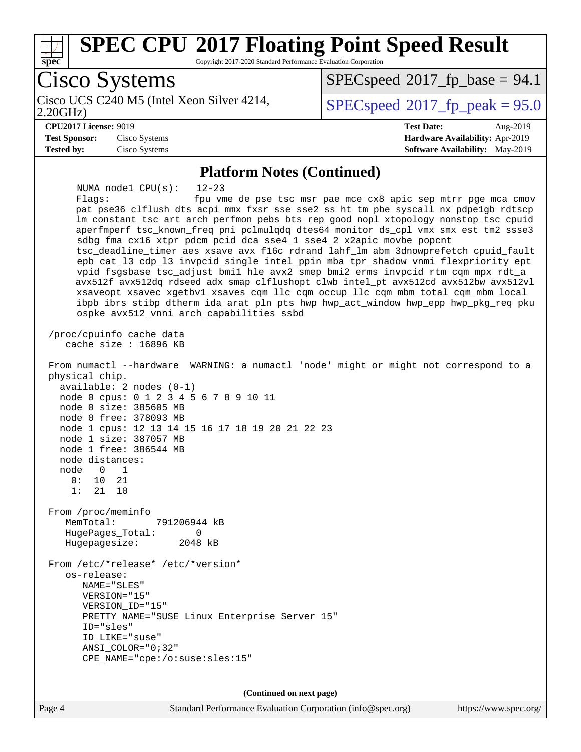

**(Continued on next page)**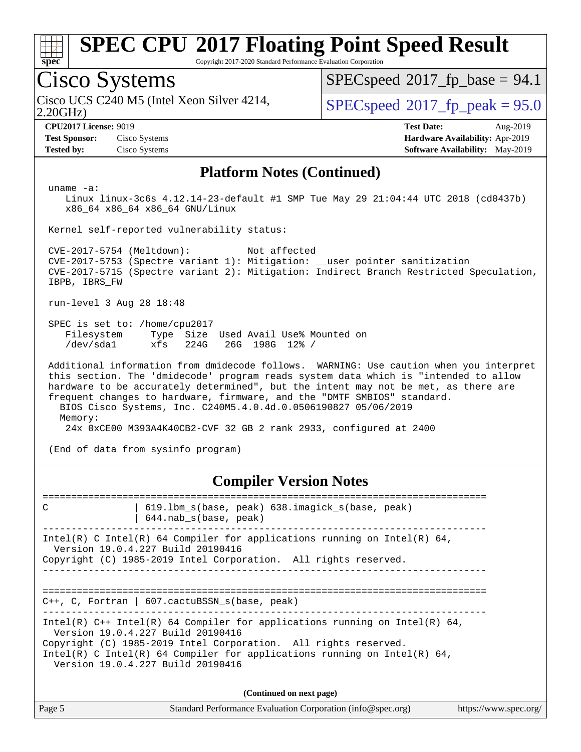

Copyright 2017-2020 Standard Performance Evaluation Corporation

### Cisco Systems

2.20GHz) Cisco UCS C240 M5 (Intel Xeon Silver 4214,  $\begin{array}{|l|}\n\hline\n\text{SPEC speed} \text{°2017\_fp\_peak} = 95.0\n\end{array}$ 

 $SPECspeed^{\circ}2017\_fp\_base = 94.1$  $SPECspeed^{\circ}2017\_fp\_base = 94.1$ 

**[Test Sponsor:](http://www.spec.org/auto/cpu2017/Docs/result-fields.html#TestSponsor)** Cisco Systems **[Hardware Availability:](http://www.spec.org/auto/cpu2017/Docs/result-fields.html#HardwareAvailability)** Apr-2019 **[Tested by:](http://www.spec.org/auto/cpu2017/Docs/result-fields.html#Testedby)** Cisco Systems **[Software Availability:](http://www.spec.org/auto/cpu2017/Docs/result-fields.html#SoftwareAvailability)** May-2019

**[CPU2017 License:](http://www.spec.org/auto/cpu2017/Docs/result-fields.html#CPU2017License)** 9019 **[Test Date:](http://www.spec.org/auto/cpu2017/Docs/result-fields.html#TestDate)** Aug-2019

#### **[Platform Notes \(Continued\)](http://www.spec.org/auto/cpu2017/Docs/result-fields.html#PlatformNotes)**

uname -a:

 Linux linux-3c6s 4.12.14-23-default #1 SMP Tue May 29 21:04:44 UTC 2018 (cd0437b) x86\_64 x86\_64 x86\_64 GNU/Linux

Kernel self-reported vulnerability status:

 CVE-2017-5754 (Meltdown): Not affected CVE-2017-5753 (Spectre variant 1): Mitigation: \_\_user pointer sanitization CVE-2017-5715 (Spectre variant 2): Mitigation: Indirect Branch Restricted Speculation, IBPB, IBRS\_FW

run-level 3 Aug 28 18:48

 SPEC is set to: /home/cpu2017 Filesystem Type Size Used Avail Use% Mounted on /dev/sda1 xfs 224G 26G 198G 12% /

 Additional information from dmidecode follows. WARNING: Use caution when you interpret this section. The 'dmidecode' program reads system data which is "intended to allow hardware to be accurately determined", but the intent may not be met, as there are frequent changes to hardware, firmware, and the "DMTF SMBIOS" standard. BIOS Cisco Systems, Inc. C240M5.4.0.4d.0.0506190827 05/06/2019 Memory: 24x 0xCE00 M393A4K40CB2-CVF 32 GB 2 rank 2933, configured at 2400

(End of data from sysinfo program)

#### **[Compiler Version Notes](http://www.spec.org/auto/cpu2017/Docs/result-fields.html#CompilerVersionNotes)**

============================================================================== C | 619.lbm\_s(base, peak) 638.imagick\_s(base, peak) | 644.nab\_s(base, peak) ------------------------------------------------------------------------------ Intel(R) C Intel(R) 64 Compiler for applications running on Intel(R)  $64$ , Version 19.0.4.227 Build 20190416 Copyright (C) 1985-2019 Intel Corporation. All rights reserved. ------------------------------------------------------------------------------ ============================================================================== C++, C, Fortran | 607.cactuBSSN\_s(base, peak) ------------------------------------------------------------------------------ Intel(R) C++ Intel(R) 64 Compiler for applications running on Intel(R)  $64$ , Version 19.0.4.227 Build 20190416 Copyright (C) 1985-2019 Intel Corporation. All rights reserved. Intel(R) C Intel(R) 64 Compiler for applications running on Intel(R)  $64$ , Version 19.0.4.227 Build 20190416 **(Continued on next page)**

| Page 5 | Standard Performance Evaluation Corporation (info@spec.org) | https://www.spec.org/ |
|--------|-------------------------------------------------------------|-----------------------|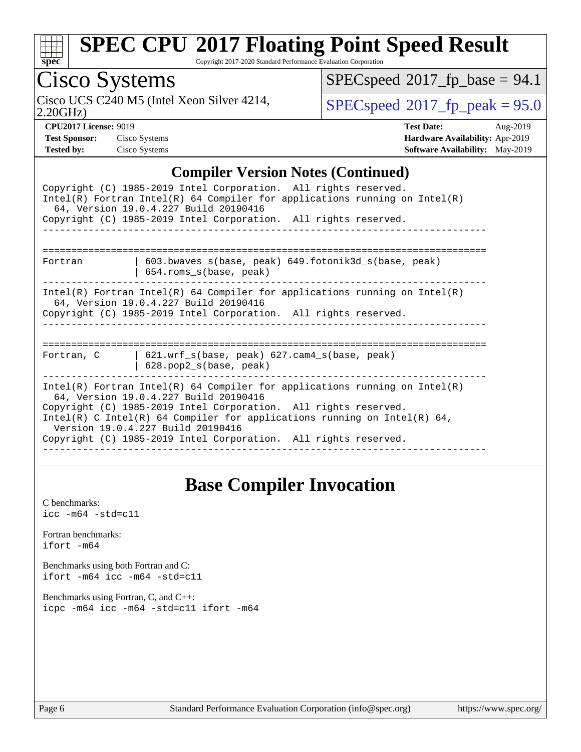| S | Dе |  |
|---|----|--|

Copyright 2017-2020 Standard Performance Evaluation Corporation

## Cisco Systems

2.20GHz) Cisco UCS C240 M5 (Intel Xeon Silver 4214,  $\begin{array}{|l|l|}\n\hline\n\text{SPEC speed} & 2017\_fp\_peak = 95.0\n\end{array}$ 

 $SPECspeed@2017_fp\_base = 94.1$  $SPECspeed@2017_fp\_base = 94.1$ 

**[CPU2017 License:](http://www.spec.org/auto/cpu2017/Docs/result-fields.html#CPU2017License)** 9019 **[Test Date:](http://www.spec.org/auto/cpu2017/Docs/result-fields.html#TestDate)** Aug-2019 **[Test Sponsor:](http://www.spec.org/auto/cpu2017/Docs/result-fields.html#TestSponsor)** Cisco Systems **[Hardware Availability:](http://www.spec.org/auto/cpu2017/Docs/result-fields.html#HardwareAvailability)** Apr-2019 **[Tested by:](http://www.spec.org/auto/cpu2017/Docs/result-fields.html#Testedby)** Cisco Systems **[Software Availability:](http://www.spec.org/auto/cpu2017/Docs/result-fields.html#SoftwareAvailability)** May-2019

### **[Compiler Version Notes \(Continued\)](http://www.spec.org/auto/cpu2017/Docs/result-fields.html#CompilerVersionNotes)**

| Complict version rotes (Commuca)                                                                                                                                                                                                                                                                                                                                           |
|----------------------------------------------------------------------------------------------------------------------------------------------------------------------------------------------------------------------------------------------------------------------------------------------------------------------------------------------------------------------------|
| Copyright (C) 1985-2019 Intel Corporation. All rights reserved.<br>Intel(R) Fortran Intel(R) 64 Compiler for applications running on Intel(R)<br>64, Version 19.0.4.227 Build 20190416                                                                                                                                                                                     |
| Copyright (C) 1985-2019 Intel Corporation. All rights reserved.                                                                                                                                                                                                                                                                                                            |
|                                                                                                                                                                                                                                                                                                                                                                            |
| 603.bwaves_s(base, peak) 649.fotonik3d_s(base, peak)<br>Fortran<br>$654$ .roms $s(base, peak)$                                                                                                                                                                                                                                                                             |
| Intel(R) Fortran Intel(R) 64 Compiler for applications running on Intel(R)<br>64, Version 19.0.4.227 Build 20190416<br>Copyright (C) 1985-2019 Intel Corporation. All rights reserved.                                                                                                                                                                                     |
| $621.$ wrf $s(base, peak)$ $627.$ cam4 $s(base, peak)$<br>Fortran, C<br>$628.$ pop2_s(base, peak)                                                                                                                                                                                                                                                                          |
| Intel(R) Fortran Intel(R) 64 Compiler for applications running on Intel(R)<br>64, Version 19.0.4.227 Build 20190416<br>Copyright (C) 1985-2019 Intel Corporation. All rights reserved.<br>Intel(R) C Intel(R) 64 Compiler for applications running on Intel(R) 64,<br>Version 19.0.4.227 Build 20190416<br>Copyright (C) 1985-2019 Intel Corporation. All rights reserved. |

### **[Base Compiler Invocation](http://www.spec.org/auto/cpu2017/Docs/result-fields.html#BaseCompilerInvocation)**

| C benchmarks:<br>$\texttt{icc -m64 -std=c11}$                                   |
|---------------------------------------------------------------------------------|
| Fortran benchmarks:<br>ifort -m64                                               |
| Benchmarks using both Fortran and C:<br>$ifort -m64$ $ice -m64 -std=c11$        |
| Benchmarks using Fortran, C, and C++:<br>icpc -m64 icc -m64 -std=c11 ifort -m64 |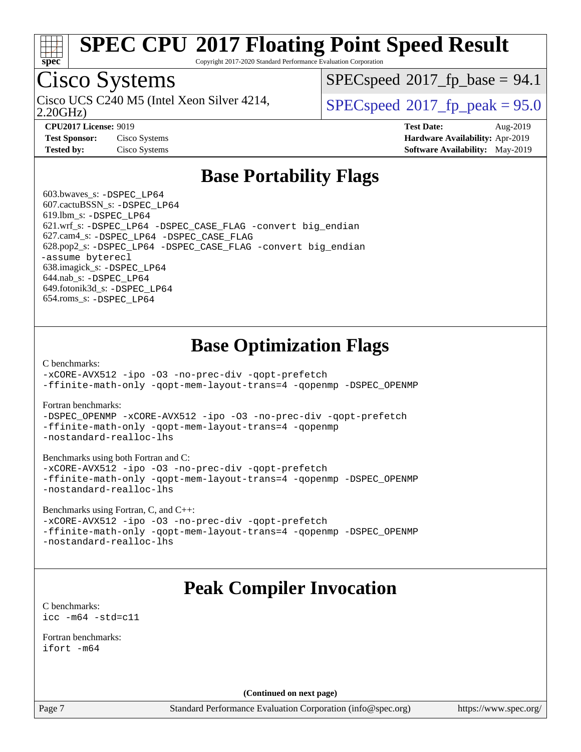

Copyright 2017-2020 Standard Performance Evaluation Corporation

# Cisco Systems

2.20GHz) Cisco UCS C240 M5 (Intel Xeon Silver 4214,  $\begin{array}{|l|}\n\hline\n\text{SPEC speed} \text{°2017\_fp\_peak} = 95.0\n\end{array}$ 

 $SPECspeed^{\circ}2017\_fp\_base = 94.1$  $SPECspeed^{\circ}2017\_fp\_base = 94.1$ 

**[Test Sponsor:](http://www.spec.org/auto/cpu2017/Docs/result-fields.html#TestSponsor)** Cisco Systems **[Hardware Availability:](http://www.spec.org/auto/cpu2017/Docs/result-fields.html#HardwareAvailability)** Apr-2019

**[CPU2017 License:](http://www.spec.org/auto/cpu2017/Docs/result-fields.html#CPU2017License)** 9019 **[Test Date:](http://www.spec.org/auto/cpu2017/Docs/result-fields.html#TestDate)** Aug-2019 **[Tested by:](http://www.spec.org/auto/cpu2017/Docs/result-fields.html#Testedby)** Cisco Systems **[Software Availability:](http://www.spec.org/auto/cpu2017/Docs/result-fields.html#SoftwareAvailability)** May-2019

### **[Base Portability Flags](http://www.spec.org/auto/cpu2017/Docs/result-fields.html#BasePortabilityFlags)**

 603.bwaves\_s: [-DSPEC\\_LP64](http://www.spec.org/cpu2017/results/res2019q3/cpu2017-20190903-17772.flags.html#suite_basePORTABILITY603_bwaves_s_DSPEC_LP64) 607.cactuBSSN\_s: [-DSPEC\\_LP64](http://www.spec.org/cpu2017/results/res2019q3/cpu2017-20190903-17772.flags.html#suite_basePORTABILITY607_cactuBSSN_s_DSPEC_LP64) 619.lbm\_s: [-DSPEC\\_LP64](http://www.spec.org/cpu2017/results/res2019q3/cpu2017-20190903-17772.flags.html#suite_basePORTABILITY619_lbm_s_DSPEC_LP64) 621.wrf\_s: [-DSPEC\\_LP64](http://www.spec.org/cpu2017/results/res2019q3/cpu2017-20190903-17772.flags.html#suite_basePORTABILITY621_wrf_s_DSPEC_LP64) [-DSPEC\\_CASE\\_FLAG](http://www.spec.org/cpu2017/results/res2019q3/cpu2017-20190903-17772.flags.html#b621.wrf_s_baseCPORTABILITY_DSPEC_CASE_FLAG) [-convert big\\_endian](http://www.spec.org/cpu2017/results/res2019q3/cpu2017-20190903-17772.flags.html#user_baseFPORTABILITY621_wrf_s_convert_big_endian_c3194028bc08c63ac5d04de18c48ce6d347e4e562e8892b8bdbdc0214820426deb8554edfa529a3fb25a586e65a3d812c835984020483e7e73212c4d31a38223) 627.cam4\_s: [-DSPEC\\_LP64](http://www.spec.org/cpu2017/results/res2019q3/cpu2017-20190903-17772.flags.html#suite_basePORTABILITY627_cam4_s_DSPEC_LP64) [-DSPEC\\_CASE\\_FLAG](http://www.spec.org/cpu2017/results/res2019q3/cpu2017-20190903-17772.flags.html#b627.cam4_s_baseCPORTABILITY_DSPEC_CASE_FLAG) 628.pop2\_s: [-DSPEC\\_LP64](http://www.spec.org/cpu2017/results/res2019q3/cpu2017-20190903-17772.flags.html#suite_basePORTABILITY628_pop2_s_DSPEC_LP64) [-DSPEC\\_CASE\\_FLAG](http://www.spec.org/cpu2017/results/res2019q3/cpu2017-20190903-17772.flags.html#b628.pop2_s_baseCPORTABILITY_DSPEC_CASE_FLAG) [-convert big\\_endian](http://www.spec.org/cpu2017/results/res2019q3/cpu2017-20190903-17772.flags.html#user_baseFPORTABILITY628_pop2_s_convert_big_endian_c3194028bc08c63ac5d04de18c48ce6d347e4e562e8892b8bdbdc0214820426deb8554edfa529a3fb25a586e65a3d812c835984020483e7e73212c4d31a38223) [-assume byterecl](http://www.spec.org/cpu2017/results/res2019q3/cpu2017-20190903-17772.flags.html#user_baseFPORTABILITY628_pop2_s_assume_byterecl_7e47d18b9513cf18525430bbf0f2177aa9bf368bc7a059c09b2c06a34b53bd3447c950d3f8d6c70e3faf3a05c8557d66a5798b567902e8849adc142926523472) 638.imagick\_s: [-DSPEC\\_LP64](http://www.spec.org/cpu2017/results/res2019q3/cpu2017-20190903-17772.flags.html#suite_basePORTABILITY638_imagick_s_DSPEC_LP64) 644.nab\_s: [-DSPEC\\_LP64](http://www.spec.org/cpu2017/results/res2019q3/cpu2017-20190903-17772.flags.html#suite_basePORTABILITY644_nab_s_DSPEC_LP64) 649.fotonik3d\_s: [-DSPEC\\_LP64](http://www.spec.org/cpu2017/results/res2019q3/cpu2017-20190903-17772.flags.html#suite_basePORTABILITY649_fotonik3d_s_DSPEC_LP64) 654.roms\_s: [-DSPEC\\_LP64](http://www.spec.org/cpu2017/results/res2019q3/cpu2017-20190903-17772.flags.html#suite_basePORTABILITY654_roms_s_DSPEC_LP64)

### **[Base Optimization Flags](http://www.spec.org/auto/cpu2017/Docs/result-fields.html#BaseOptimizationFlags)**

[C benchmarks](http://www.spec.org/auto/cpu2017/Docs/result-fields.html#Cbenchmarks):

[-xCORE-AVX512](http://www.spec.org/cpu2017/results/res2019q3/cpu2017-20190903-17772.flags.html#user_CCbase_f-xCORE-AVX512) [-ipo](http://www.spec.org/cpu2017/results/res2019q3/cpu2017-20190903-17772.flags.html#user_CCbase_f-ipo) [-O3](http://www.spec.org/cpu2017/results/res2019q3/cpu2017-20190903-17772.flags.html#user_CCbase_f-O3) [-no-prec-div](http://www.spec.org/cpu2017/results/res2019q3/cpu2017-20190903-17772.flags.html#user_CCbase_f-no-prec-div) [-qopt-prefetch](http://www.spec.org/cpu2017/results/res2019q3/cpu2017-20190903-17772.flags.html#user_CCbase_f-qopt-prefetch) [-ffinite-math-only](http://www.spec.org/cpu2017/results/res2019q3/cpu2017-20190903-17772.flags.html#user_CCbase_f_finite_math_only_cb91587bd2077682c4b38af759c288ed7c732db004271a9512da14a4f8007909a5f1427ecbf1a0fb78ff2a814402c6114ac565ca162485bbcae155b5e4258871) [-qopt-mem-layout-trans=4](http://www.spec.org/cpu2017/results/res2019q3/cpu2017-20190903-17772.flags.html#user_CCbase_f-qopt-mem-layout-trans_fa39e755916c150a61361b7846f310bcdf6f04e385ef281cadf3647acec3f0ae266d1a1d22d972a7087a248fd4e6ca390a3634700869573d231a252c784941a8) [-qopenmp](http://www.spec.org/cpu2017/results/res2019q3/cpu2017-20190903-17772.flags.html#user_CCbase_qopenmp_16be0c44f24f464004c6784a7acb94aca937f053568ce72f94b139a11c7c168634a55f6653758ddd83bcf7b8463e8028bb0b48b77bcddc6b78d5d95bb1df2967) [-DSPEC\\_OPENMP](http://www.spec.org/cpu2017/results/res2019q3/cpu2017-20190903-17772.flags.html#suite_CCbase_DSPEC_OPENMP)

[Fortran benchmarks](http://www.spec.org/auto/cpu2017/Docs/result-fields.html#Fortranbenchmarks):

[-DSPEC\\_OPENMP](http://www.spec.org/cpu2017/results/res2019q3/cpu2017-20190903-17772.flags.html#suite_FCbase_DSPEC_OPENMP) [-xCORE-AVX512](http://www.spec.org/cpu2017/results/res2019q3/cpu2017-20190903-17772.flags.html#user_FCbase_f-xCORE-AVX512) [-ipo](http://www.spec.org/cpu2017/results/res2019q3/cpu2017-20190903-17772.flags.html#user_FCbase_f-ipo) [-O3](http://www.spec.org/cpu2017/results/res2019q3/cpu2017-20190903-17772.flags.html#user_FCbase_f-O3) [-no-prec-div](http://www.spec.org/cpu2017/results/res2019q3/cpu2017-20190903-17772.flags.html#user_FCbase_f-no-prec-div) [-qopt-prefetch](http://www.spec.org/cpu2017/results/res2019q3/cpu2017-20190903-17772.flags.html#user_FCbase_f-qopt-prefetch) [-ffinite-math-only](http://www.spec.org/cpu2017/results/res2019q3/cpu2017-20190903-17772.flags.html#user_FCbase_f_finite_math_only_cb91587bd2077682c4b38af759c288ed7c732db004271a9512da14a4f8007909a5f1427ecbf1a0fb78ff2a814402c6114ac565ca162485bbcae155b5e4258871) [-qopt-mem-layout-trans=4](http://www.spec.org/cpu2017/results/res2019q3/cpu2017-20190903-17772.flags.html#user_FCbase_f-qopt-mem-layout-trans_fa39e755916c150a61361b7846f310bcdf6f04e385ef281cadf3647acec3f0ae266d1a1d22d972a7087a248fd4e6ca390a3634700869573d231a252c784941a8) [-qopenmp](http://www.spec.org/cpu2017/results/res2019q3/cpu2017-20190903-17772.flags.html#user_FCbase_qopenmp_16be0c44f24f464004c6784a7acb94aca937f053568ce72f94b139a11c7c168634a55f6653758ddd83bcf7b8463e8028bb0b48b77bcddc6b78d5d95bb1df2967) [-nostandard-realloc-lhs](http://www.spec.org/cpu2017/results/res2019q3/cpu2017-20190903-17772.flags.html#user_FCbase_f_2003_std_realloc_82b4557e90729c0f113870c07e44d33d6f5a304b4f63d4c15d2d0f1fab99f5daaed73bdb9275d9ae411527f28b936061aa8b9c8f2d63842963b95c9dd6426b8a)

[Benchmarks using both Fortran and C](http://www.spec.org/auto/cpu2017/Docs/result-fields.html#BenchmarksusingbothFortranandC):

[-xCORE-AVX512](http://www.spec.org/cpu2017/results/res2019q3/cpu2017-20190903-17772.flags.html#user_CC_FCbase_f-xCORE-AVX512) [-ipo](http://www.spec.org/cpu2017/results/res2019q3/cpu2017-20190903-17772.flags.html#user_CC_FCbase_f-ipo) [-O3](http://www.spec.org/cpu2017/results/res2019q3/cpu2017-20190903-17772.flags.html#user_CC_FCbase_f-O3) [-no-prec-div](http://www.spec.org/cpu2017/results/res2019q3/cpu2017-20190903-17772.flags.html#user_CC_FCbase_f-no-prec-div) [-qopt-prefetch](http://www.spec.org/cpu2017/results/res2019q3/cpu2017-20190903-17772.flags.html#user_CC_FCbase_f-qopt-prefetch) [-ffinite-math-only](http://www.spec.org/cpu2017/results/res2019q3/cpu2017-20190903-17772.flags.html#user_CC_FCbase_f_finite_math_only_cb91587bd2077682c4b38af759c288ed7c732db004271a9512da14a4f8007909a5f1427ecbf1a0fb78ff2a814402c6114ac565ca162485bbcae155b5e4258871) [-qopt-mem-layout-trans=4](http://www.spec.org/cpu2017/results/res2019q3/cpu2017-20190903-17772.flags.html#user_CC_FCbase_f-qopt-mem-layout-trans_fa39e755916c150a61361b7846f310bcdf6f04e385ef281cadf3647acec3f0ae266d1a1d22d972a7087a248fd4e6ca390a3634700869573d231a252c784941a8) [-qopenmp](http://www.spec.org/cpu2017/results/res2019q3/cpu2017-20190903-17772.flags.html#user_CC_FCbase_qopenmp_16be0c44f24f464004c6784a7acb94aca937f053568ce72f94b139a11c7c168634a55f6653758ddd83bcf7b8463e8028bb0b48b77bcddc6b78d5d95bb1df2967) [-DSPEC\\_OPENMP](http://www.spec.org/cpu2017/results/res2019q3/cpu2017-20190903-17772.flags.html#suite_CC_FCbase_DSPEC_OPENMP) [-nostandard-realloc-lhs](http://www.spec.org/cpu2017/results/res2019q3/cpu2017-20190903-17772.flags.html#user_CC_FCbase_f_2003_std_realloc_82b4557e90729c0f113870c07e44d33d6f5a304b4f63d4c15d2d0f1fab99f5daaed73bdb9275d9ae411527f28b936061aa8b9c8f2d63842963b95c9dd6426b8a)

[Benchmarks using Fortran, C, and C++:](http://www.spec.org/auto/cpu2017/Docs/result-fields.html#BenchmarksusingFortranCandCXX)

[-xCORE-AVX512](http://www.spec.org/cpu2017/results/res2019q3/cpu2017-20190903-17772.flags.html#user_CC_CXX_FCbase_f-xCORE-AVX512) [-ipo](http://www.spec.org/cpu2017/results/res2019q3/cpu2017-20190903-17772.flags.html#user_CC_CXX_FCbase_f-ipo) [-O3](http://www.spec.org/cpu2017/results/res2019q3/cpu2017-20190903-17772.flags.html#user_CC_CXX_FCbase_f-O3) [-no-prec-div](http://www.spec.org/cpu2017/results/res2019q3/cpu2017-20190903-17772.flags.html#user_CC_CXX_FCbase_f-no-prec-div) [-qopt-prefetch](http://www.spec.org/cpu2017/results/res2019q3/cpu2017-20190903-17772.flags.html#user_CC_CXX_FCbase_f-qopt-prefetch) [-ffinite-math-only](http://www.spec.org/cpu2017/results/res2019q3/cpu2017-20190903-17772.flags.html#user_CC_CXX_FCbase_f_finite_math_only_cb91587bd2077682c4b38af759c288ed7c732db004271a9512da14a4f8007909a5f1427ecbf1a0fb78ff2a814402c6114ac565ca162485bbcae155b5e4258871) [-qopt-mem-layout-trans=4](http://www.spec.org/cpu2017/results/res2019q3/cpu2017-20190903-17772.flags.html#user_CC_CXX_FCbase_f-qopt-mem-layout-trans_fa39e755916c150a61361b7846f310bcdf6f04e385ef281cadf3647acec3f0ae266d1a1d22d972a7087a248fd4e6ca390a3634700869573d231a252c784941a8) [-qopenmp](http://www.spec.org/cpu2017/results/res2019q3/cpu2017-20190903-17772.flags.html#user_CC_CXX_FCbase_qopenmp_16be0c44f24f464004c6784a7acb94aca937f053568ce72f94b139a11c7c168634a55f6653758ddd83bcf7b8463e8028bb0b48b77bcddc6b78d5d95bb1df2967) [-DSPEC\\_OPENMP](http://www.spec.org/cpu2017/results/res2019q3/cpu2017-20190903-17772.flags.html#suite_CC_CXX_FCbase_DSPEC_OPENMP) [-nostandard-realloc-lhs](http://www.spec.org/cpu2017/results/res2019q3/cpu2017-20190903-17772.flags.html#user_CC_CXX_FCbase_f_2003_std_realloc_82b4557e90729c0f113870c07e44d33d6f5a304b4f63d4c15d2d0f1fab99f5daaed73bdb9275d9ae411527f28b936061aa8b9c8f2d63842963b95c9dd6426b8a)

### **[Peak Compiler Invocation](http://www.spec.org/auto/cpu2017/Docs/result-fields.html#PeakCompilerInvocation)**

[C benchmarks](http://www.spec.org/auto/cpu2017/Docs/result-fields.html#Cbenchmarks): [icc -m64 -std=c11](http://www.spec.org/cpu2017/results/res2019q3/cpu2017-20190903-17772.flags.html#user_CCpeak_intel_icc_64bit_c11_33ee0cdaae7deeeab2a9725423ba97205ce30f63b9926c2519791662299b76a0318f32ddfffdc46587804de3178b4f9328c46fa7c2b0cd779d7a61945c91cd35)

[Fortran benchmarks](http://www.spec.org/auto/cpu2017/Docs/result-fields.html#Fortranbenchmarks): [ifort -m64](http://www.spec.org/cpu2017/results/res2019q3/cpu2017-20190903-17772.flags.html#user_FCpeak_intel_ifort_64bit_24f2bb282fbaeffd6157abe4f878425411749daecae9a33200eee2bee2fe76f3b89351d69a8130dd5949958ce389cf37ff59a95e7a40d588e8d3a57e0c3fd751)

**(Continued on next page)**

Page 7 Standard Performance Evaluation Corporation [\(info@spec.org\)](mailto:info@spec.org) <https://www.spec.org/>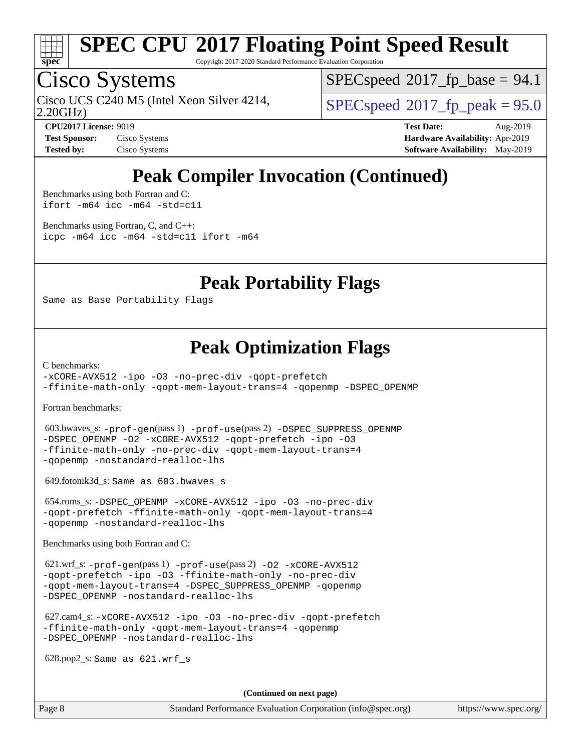

Copyright 2017-2020 Standard Performance Evaluation Corporation

# Cisco Systems

2.20GHz) Cisco UCS C240 M5 (Intel Xeon Silver 4214,  $\begin{array}{|l|}\n\hline\n\text{SPEC speed} \text{°2017\_fp\_peak} = 95.0\n\end{array}$ 

 $SPECspeed^{\circ}2017\_fp\_base = 94.1$  $SPECspeed^{\circ}2017\_fp\_base = 94.1$ 

**[Test Sponsor:](http://www.spec.org/auto/cpu2017/Docs/result-fields.html#TestSponsor)** Cisco Systems **[Hardware Availability:](http://www.spec.org/auto/cpu2017/Docs/result-fields.html#HardwareAvailability)** Apr-2019

**[CPU2017 License:](http://www.spec.org/auto/cpu2017/Docs/result-fields.html#CPU2017License)** 9019 **[Test Date:](http://www.spec.org/auto/cpu2017/Docs/result-fields.html#TestDate)** Aug-2019 **[Tested by:](http://www.spec.org/auto/cpu2017/Docs/result-fields.html#Testedby)** Cisco Systems **[Software Availability:](http://www.spec.org/auto/cpu2017/Docs/result-fields.html#SoftwareAvailability)** May-2019

### **[Peak Compiler Invocation \(Continued\)](http://www.spec.org/auto/cpu2017/Docs/result-fields.html#PeakCompilerInvocation)**

[Benchmarks using both Fortran and C](http://www.spec.org/auto/cpu2017/Docs/result-fields.html#BenchmarksusingbothFortranandC): [ifort -m64](http://www.spec.org/cpu2017/results/res2019q3/cpu2017-20190903-17772.flags.html#user_CC_FCpeak_intel_ifort_64bit_24f2bb282fbaeffd6157abe4f878425411749daecae9a33200eee2bee2fe76f3b89351d69a8130dd5949958ce389cf37ff59a95e7a40d588e8d3a57e0c3fd751) [icc -m64 -std=c11](http://www.spec.org/cpu2017/results/res2019q3/cpu2017-20190903-17772.flags.html#user_CC_FCpeak_intel_icc_64bit_c11_33ee0cdaae7deeeab2a9725423ba97205ce30f63b9926c2519791662299b76a0318f32ddfffdc46587804de3178b4f9328c46fa7c2b0cd779d7a61945c91cd35)

[Benchmarks using Fortran, C, and C++:](http://www.spec.org/auto/cpu2017/Docs/result-fields.html#BenchmarksusingFortranCandCXX) [icpc -m64](http://www.spec.org/cpu2017/results/res2019q3/cpu2017-20190903-17772.flags.html#user_CC_CXX_FCpeak_intel_icpc_64bit_4ecb2543ae3f1412ef961e0650ca070fec7b7afdcd6ed48761b84423119d1bf6bdf5cad15b44d48e7256388bc77273b966e5eb805aefd121eb22e9299b2ec9d9) [icc -m64 -std=c11](http://www.spec.org/cpu2017/results/res2019q3/cpu2017-20190903-17772.flags.html#user_CC_CXX_FCpeak_intel_icc_64bit_c11_33ee0cdaae7deeeab2a9725423ba97205ce30f63b9926c2519791662299b76a0318f32ddfffdc46587804de3178b4f9328c46fa7c2b0cd779d7a61945c91cd35) [ifort -m64](http://www.spec.org/cpu2017/results/res2019q3/cpu2017-20190903-17772.flags.html#user_CC_CXX_FCpeak_intel_ifort_64bit_24f2bb282fbaeffd6157abe4f878425411749daecae9a33200eee2bee2fe76f3b89351d69a8130dd5949958ce389cf37ff59a95e7a40d588e8d3a57e0c3fd751)

### **[Peak Portability Flags](http://www.spec.org/auto/cpu2017/Docs/result-fields.html#PeakPortabilityFlags)**

Same as Base Portability Flags

### **[Peak Optimization Flags](http://www.spec.org/auto/cpu2017/Docs/result-fields.html#PeakOptimizationFlags)**

[C benchmarks](http://www.spec.org/auto/cpu2017/Docs/result-fields.html#Cbenchmarks):

[-xCORE-AVX512](http://www.spec.org/cpu2017/results/res2019q3/cpu2017-20190903-17772.flags.html#user_CCpeak_f-xCORE-AVX512) [-ipo](http://www.spec.org/cpu2017/results/res2019q3/cpu2017-20190903-17772.flags.html#user_CCpeak_f-ipo) [-O3](http://www.spec.org/cpu2017/results/res2019q3/cpu2017-20190903-17772.flags.html#user_CCpeak_f-O3) [-no-prec-div](http://www.spec.org/cpu2017/results/res2019q3/cpu2017-20190903-17772.flags.html#user_CCpeak_f-no-prec-div) [-qopt-prefetch](http://www.spec.org/cpu2017/results/res2019q3/cpu2017-20190903-17772.flags.html#user_CCpeak_f-qopt-prefetch) [-ffinite-math-only](http://www.spec.org/cpu2017/results/res2019q3/cpu2017-20190903-17772.flags.html#user_CCpeak_f_finite_math_only_cb91587bd2077682c4b38af759c288ed7c732db004271a9512da14a4f8007909a5f1427ecbf1a0fb78ff2a814402c6114ac565ca162485bbcae155b5e4258871) [-qopt-mem-layout-trans=4](http://www.spec.org/cpu2017/results/res2019q3/cpu2017-20190903-17772.flags.html#user_CCpeak_f-qopt-mem-layout-trans_fa39e755916c150a61361b7846f310bcdf6f04e385ef281cadf3647acec3f0ae266d1a1d22d972a7087a248fd4e6ca390a3634700869573d231a252c784941a8) [-qopenmp](http://www.spec.org/cpu2017/results/res2019q3/cpu2017-20190903-17772.flags.html#user_CCpeak_qopenmp_16be0c44f24f464004c6784a7acb94aca937f053568ce72f94b139a11c7c168634a55f6653758ddd83bcf7b8463e8028bb0b48b77bcddc6b78d5d95bb1df2967) [-DSPEC\\_OPENMP](http://www.spec.org/cpu2017/results/res2019q3/cpu2017-20190903-17772.flags.html#suite_CCpeak_DSPEC_OPENMP)

[Fortran benchmarks](http://www.spec.org/auto/cpu2017/Docs/result-fields.html#Fortranbenchmarks):

 603.bwaves\_s: [-prof-gen](http://www.spec.org/cpu2017/results/res2019q3/cpu2017-20190903-17772.flags.html#user_peakPASS1_FFLAGSPASS1_LDFLAGS603_bwaves_s_prof_gen_5aa4926d6013ddb2a31985c654b3eb18169fc0c6952a63635c234f711e6e63dd76e94ad52365559451ec499a2cdb89e4dc58ba4c67ef54ca681ffbe1461d6b36)(pass 1) [-prof-use](http://www.spec.org/cpu2017/results/res2019q3/cpu2017-20190903-17772.flags.html#user_peakPASS2_FFLAGSPASS2_LDFLAGS603_bwaves_s_prof_use_1a21ceae95f36a2b53c25747139a6c16ca95bd9def2a207b4f0849963b97e94f5260e30a0c64f4bb623698870e679ca08317ef8150905d41bd88c6f78df73f19)(pass 2) [-DSPEC\\_SUPPRESS\\_OPENMP](http://www.spec.org/cpu2017/results/res2019q3/cpu2017-20190903-17772.flags.html#suite_peakPASS1_FOPTIMIZE603_bwaves_s_DSPEC_SUPPRESS_OPENMP) [-DSPEC\\_OPENMP](http://www.spec.org/cpu2017/results/res2019q3/cpu2017-20190903-17772.flags.html#suite_peakPASS2_FOPTIMIZE603_bwaves_s_DSPEC_OPENMP) [-O2](http://www.spec.org/cpu2017/results/res2019q3/cpu2017-20190903-17772.flags.html#user_peakPASS1_FOPTIMIZE603_bwaves_s_f-O2) [-xCORE-AVX512](http://www.spec.org/cpu2017/results/res2019q3/cpu2017-20190903-17772.flags.html#user_peakPASS2_FOPTIMIZE603_bwaves_s_f-xCORE-AVX512) [-qopt-prefetch](http://www.spec.org/cpu2017/results/res2019q3/cpu2017-20190903-17772.flags.html#user_peakPASS1_FOPTIMIZEPASS2_FOPTIMIZE603_bwaves_s_f-qopt-prefetch) [-ipo](http://www.spec.org/cpu2017/results/res2019q3/cpu2017-20190903-17772.flags.html#user_peakPASS2_FOPTIMIZE603_bwaves_s_f-ipo) [-O3](http://www.spec.org/cpu2017/results/res2019q3/cpu2017-20190903-17772.flags.html#user_peakPASS2_FOPTIMIZE603_bwaves_s_f-O3) [-ffinite-math-only](http://www.spec.org/cpu2017/results/res2019q3/cpu2017-20190903-17772.flags.html#user_peakPASS1_FOPTIMIZEPASS2_FOPTIMIZE603_bwaves_s_f_finite_math_only_cb91587bd2077682c4b38af759c288ed7c732db004271a9512da14a4f8007909a5f1427ecbf1a0fb78ff2a814402c6114ac565ca162485bbcae155b5e4258871) [-no-prec-div](http://www.spec.org/cpu2017/results/res2019q3/cpu2017-20190903-17772.flags.html#user_peakPASS2_FOPTIMIZE603_bwaves_s_f-no-prec-div) [-qopt-mem-layout-trans=4](http://www.spec.org/cpu2017/results/res2019q3/cpu2017-20190903-17772.flags.html#user_peakPASS1_FOPTIMIZEPASS2_FOPTIMIZE603_bwaves_s_f-qopt-mem-layout-trans_fa39e755916c150a61361b7846f310bcdf6f04e385ef281cadf3647acec3f0ae266d1a1d22d972a7087a248fd4e6ca390a3634700869573d231a252c784941a8) [-qopenmp](http://www.spec.org/cpu2017/results/res2019q3/cpu2017-20190903-17772.flags.html#user_peakPASS2_FOPTIMIZE603_bwaves_s_qopenmp_16be0c44f24f464004c6784a7acb94aca937f053568ce72f94b139a11c7c168634a55f6653758ddd83bcf7b8463e8028bb0b48b77bcddc6b78d5d95bb1df2967) [-nostandard-realloc-lhs](http://www.spec.org/cpu2017/results/res2019q3/cpu2017-20190903-17772.flags.html#user_peakEXTRA_FOPTIMIZE603_bwaves_s_f_2003_std_realloc_82b4557e90729c0f113870c07e44d33d6f5a304b4f63d4c15d2d0f1fab99f5daaed73bdb9275d9ae411527f28b936061aa8b9c8f2d63842963b95c9dd6426b8a)

649.fotonik3d\_s: Same as 603.bwaves\_s

 654.roms\_s: [-DSPEC\\_OPENMP](http://www.spec.org/cpu2017/results/res2019q3/cpu2017-20190903-17772.flags.html#suite_peakFOPTIMIZE654_roms_s_DSPEC_OPENMP) [-xCORE-AVX512](http://www.spec.org/cpu2017/results/res2019q3/cpu2017-20190903-17772.flags.html#user_peakFOPTIMIZE654_roms_s_f-xCORE-AVX512) [-ipo](http://www.spec.org/cpu2017/results/res2019q3/cpu2017-20190903-17772.flags.html#user_peakFOPTIMIZE654_roms_s_f-ipo) [-O3](http://www.spec.org/cpu2017/results/res2019q3/cpu2017-20190903-17772.flags.html#user_peakFOPTIMIZE654_roms_s_f-O3) [-no-prec-div](http://www.spec.org/cpu2017/results/res2019q3/cpu2017-20190903-17772.flags.html#user_peakFOPTIMIZE654_roms_s_f-no-prec-div) [-qopt-prefetch](http://www.spec.org/cpu2017/results/res2019q3/cpu2017-20190903-17772.flags.html#user_peakFOPTIMIZE654_roms_s_f-qopt-prefetch) [-ffinite-math-only](http://www.spec.org/cpu2017/results/res2019q3/cpu2017-20190903-17772.flags.html#user_peakFOPTIMIZE654_roms_s_f_finite_math_only_cb91587bd2077682c4b38af759c288ed7c732db004271a9512da14a4f8007909a5f1427ecbf1a0fb78ff2a814402c6114ac565ca162485bbcae155b5e4258871) [-qopt-mem-layout-trans=4](http://www.spec.org/cpu2017/results/res2019q3/cpu2017-20190903-17772.flags.html#user_peakFOPTIMIZE654_roms_s_f-qopt-mem-layout-trans_fa39e755916c150a61361b7846f310bcdf6f04e385ef281cadf3647acec3f0ae266d1a1d22d972a7087a248fd4e6ca390a3634700869573d231a252c784941a8) [-qopenmp](http://www.spec.org/cpu2017/results/res2019q3/cpu2017-20190903-17772.flags.html#user_peakFOPTIMIZE654_roms_s_qopenmp_16be0c44f24f464004c6784a7acb94aca937f053568ce72f94b139a11c7c168634a55f6653758ddd83bcf7b8463e8028bb0b48b77bcddc6b78d5d95bb1df2967) [-nostandard-realloc-lhs](http://www.spec.org/cpu2017/results/res2019q3/cpu2017-20190903-17772.flags.html#user_peakEXTRA_FOPTIMIZE654_roms_s_f_2003_std_realloc_82b4557e90729c0f113870c07e44d33d6f5a304b4f63d4c15d2d0f1fab99f5daaed73bdb9275d9ae411527f28b936061aa8b9c8f2d63842963b95c9dd6426b8a)

[Benchmarks using both Fortran and C](http://www.spec.org/auto/cpu2017/Docs/result-fields.html#BenchmarksusingbothFortranandC):

 621.wrf\_s: [-prof-gen](http://www.spec.org/cpu2017/results/res2019q3/cpu2017-20190903-17772.flags.html#user_peakPASS1_CFLAGSPASS1_FFLAGSPASS1_LDFLAGS621_wrf_s_prof_gen_5aa4926d6013ddb2a31985c654b3eb18169fc0c6952a63635c234f711e6e63dd76e94ad52365559451ec499a2cdb89e4dc58ba4c67ef54ca681ffbe1461d6b36)(pass 1) [-prof-use](http://www.spec.org/cpu2017/results/res2019q3/cpu2017-20190903-17772.flags.html#user_peakPASS2_CFLAGSPASS2_FFLAGSPASS2_LDFLAGS621_wrf_s_prof_use_1a21ceae95f36a2b53c25747139a6c16ca95bd9def2a207b4f0849963b97e94f5260e30a0c64f4bb623698870e679ca08317ef8150905d41bd88c6f78df73f19)(pass 2) [-O2](http://www.spec.org/cpu2017/results/res2019q3/cpu2017-20190903-17772.flags.html#user_peakPASS1_COPTIMIZEPASS1_FOPTIMIZE621_wrf_s_f-O2) [-xCORE-AVX512](http://www.spec.org/cpu2017/results/res2019q3/cpu2017-20190903-17772.flags.html#user_peakPASS2_COPTIMIZEPASS2_FOPTIMIZE621_wrf_s_f-xCORE-AVX512) [-qopt-prefetch](http://www.spec.org/cpu2017/results/res2019q3/cpu2017-20190903-17772.flags.html#user_peakPASS1_COPTIMIZEPASS1_FOPTIMIZEPASS2_COPTIMIZEPASS2_FOPTIMIZE621_wrf_s_f-qopt-prefetch) [-ipo](http://www.spec.org/cpu2017/results/res2019q3/cpu2017-20190903-17772.flags.html#user_peakPASS2_COPTIMIZEPASS2_FOPTIMIZE621_wrf_s_f-ipo) [-O3](http://www.spec.org/cpu2017/results/res2019q3/cpu2017-20190903-17772.flags.html#user_peakPASS2_COPTIMIZEPASS2_FOPTIMIZE621_wrf_s_f-O3) [-ffinite-math-only](http://www.spec.org/cpu2017/results/res2019q3/cpu2017-20190903-17772.flags.html#user_peakPASS1_COPTIMIZEPASS1_FOPTIMIZEPASS2_COPTIMIZEPASS2_FOPTIMIZE621_wrf_s_f_finite_math_only_cb91587bd2077682c4b38af759c288ed7c732db004271a9512da14a4f8007909a5f1427ecbf1a0fb78ff2a814402c6114ac565ca162485bbcae155b5e4258871) [-no-prec-div](http://www.spec.org/cpu2017/results/res2019q3/cpu2017-20190903-17772.flags.html#user_peakPASS2_COPTIMIZEPASS2_FOPTIMIZE621_wrf_s_f-no-prec-div) [-qopt-mem-layout-trans=4](http://www.spec.org/cpu2017/results/res2019q3/cpu2017-20190903-17772.flags.html#user_peakPASS1_COPTIMIZEPASS1_FOPTIMIZEPASS2_COPTIMIZEPASS2_FOPTIMIZE621_wrf_s_f-qopt-mem-layout-trans_fa39e755916c150a61361b7846f310bcdf6f04e385ef281cadf3647acec3f0ae266d1a1d22d972a7087a248fd4e6ca390a3634700869573d231a252c784941a8) [-DSPEC\\_SUPPRESS\\_OPENMP](http://www.spec.org/cpu2017/results/res2019q3/cpu2017-20190903-17772.flags.html#suite_peakPASS1_COPTIMIZEPASS1_FOPTIMIZE621_wrf_s_DSPEC_SUPPRESS_OPENMP) [-qopenmp](http://www.spec.org/cpu2017/results/res2019q3/cpu2017-20190903-17772.flags.html#user_peakPASS2_COPTIMIZEPASS2_FOPTIMIZE621_wrf_s_qopenmp_16be0c44f24f464004c6784a7acb94aca937f053568ce72f94b139a11c7c168634a55f6653758ddd83bcf7b8463e8028bb0b48b77bcddc6b78d5d95bb1df2967) [-DSPEC\\_OPENMP](http://www.spec.org/cpu2017/results/res2019q3/cpu2017-20190903-17772.flags.html#suite_peakPASS2_COPTIMIZEPASS2_FOPTIMIZE621_wrf_s_DSPEC_OPENMP) [-nostandard-realloc-lhs](http://www.spec.org/cpu2017/results/res2019q3/cpu2017-20190903-17772.flags.html#user_peakEXTRA_FOPTIMIZE621_wrf_s_f_2003_std_realloc_82b4557e90729c0f113870c07e44d33d6f5a304b4f63d4c15d2d0f1fab99f5daaed73bdb9275d9ae411527f28b936061aa8b9c8f2d63842963b95c9dd6426b8a)

 627.cam4\_s: [-xCORE-AVX512](http://www.spec.org/cpu2017/results/res2019q3/cpu2017-20190903-17772.flags.html#user_peakCOPTIMIZEFOPTIMIZE627_cam4_s_f-xCORE-AVX512) [-ipo](http://www.spec.org/cpu2017/results/res2019q3/cpu2017-20190903-17772.flags.html#user_peakCOPTIMIZEFOPTIMIZE627_cam4_s_f-ipo) [-O3](http://www.spec.org/cpu2017/results/res2019q3/cpu2017-20190903-17772.flags.html#user_peakCOPTIMIZEFOPTIMIZE627_cam4_s_f-O3) [-no-prec-div](http://www.spec.org/cpu2017/results/res2019q3/cpu2017-20190903-17772.flags.html#user_peakCOPTIMIZEFOPTIMIZE627_cam4_s_f-no-prec-div) [-qopt-prefetch](http://www.spec.org/cpu2017/results/res2019q3/cpu2017-20190903-17772.flags.html#user_peakCOPTIMIZEFOPTIMIZE627_cam4_s_f-qopt-prefetch) [-ffinite-math-only](http://www.spec.org/cpu2017/results/res2019q3/cpu2017-20190903-17772.flags.html#user_peakCOPTIMIZEFOPTIMIZE627_cam4_s_f_finite_math_only_cb91587bd2077682c4b38af759c288ed7c732db004271a9512da14a4f8007909a5f1427ecbf1a0fb78ff2a814402c6114ac565ca162485bbcae155b5e4258871) [-qopt-mem-layout-trans=4](http://www.spec.org/cpu2017/results/res2019q3/cpu2017-20190903-17772.flags.html#user_peakCOPTIMIZEFOPTIMIZE627_cam4_s_f-qopt-mem-layout-trans_fa39e755916c150a61361b7846f310bcdf6f04e385ef281cadf3647acec3f0ae266d1a1d22d972a7087a248fd4e6ca390a3634700869573d231a252c784941a8) [-qopenmp](http://www.spec.org/cpu2017/results/res2019q3/cpu2017-20190903-17772.flags.html#user_peakCOPTIMIZEFOPTIMIZE627_cam4_s_qopenmp_16be0c44f24f464004c6784a7acb94aca937f053568ce72f94b139a11c7c168634a55f6653758ddd83bcf7b8463e8028bb0b48b77bcddc6b78d5d95bb1df2967) [-DSPEC\\_OPENMP](http://www.spec.org/cpu2017/results/res2019q3/cpu2017-20190903-17772.flags.html#suite_peakCOPTIMIZEFOPTIMIZE627_cam4_s_DSPEC_OPENMP) [-nostandard-realloc-lhs](http://www.spec.org/cpu2017/results/res2019q3/cpu2017-20190903-17772.flags.html#user_peakEXTRA_FOPTIMIZE627_cam4_s_f_2003_std_realloc_82b4557e90729c0f113870c07e44d33d6f5a304b4f63d4c15d2d0f1fab99f5daaed73bdb9275d9ae411527f28b936061aa8b9c8f2d63842963b95c9dd6426b8a)

628.pop2\_s: Same as 621.wrf\_s

**(Continued on next page)**